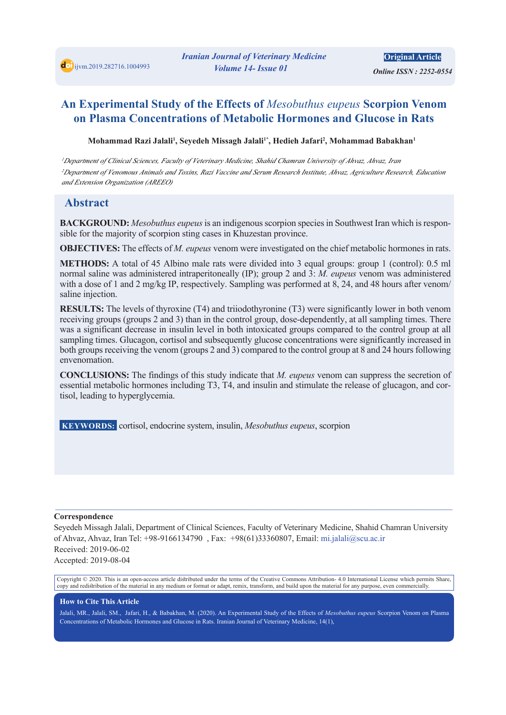*Online ISSN : 2252-0554* 

# **An Experimental Study of the Effects of** *Mesobuthus eupeus* **Scorpion Venom on Plasma Concentrations of Metabolic Hormones and Glucose in Rats**

 $M$ ohammad Razi Jalali<sup>1</sup>, Seyedeh Missagh Jalali<sup>1</sup>\*, Hedieh Jafari<sup>2</sup>, Mohammad Babakhan<sup>1</sup>

*<sup>1</sup>Department of Clinical Sciences, Faculty of Veterinary Medicine, Shahid Chamran University of Ahvaz, Ahvaz, Iran <sup>2</sup>Department of Venomous Animals and Toxins, Razi Vaccine and Serum Research Institute, Ahvaz, Agriculture Research, Education and Extension Organization (AREEO)*

### **Abstract**

**BACKGROUND:** *Mesobuthus eupeus* is an indigenous scorpion species in Southwest Iran which is responsible for the majority of scorpion sting cases in Khuzestan province.

**OBJECTIVES:** The effects of *M. eupeus* venom were investigated on the chief metabolic hormones in rats.

**METHODS:** A total of 45 Albino male rats were divided into 3 equal groups: group 1 (control): 0.5 ml normal saline was administered intraperitoneally (IP); group 2 and 3: *M. eupeus* venom was administered with a dose of 1 and 2 mg/kg IP, respectively. Sampling was performed at 8, 24, and 48 hours after venom/ saline injection.

**RESULTS:** The levels of thyroxine (T4) and triiodothyronine (T3) were significantly lower in both venom receiving groups (groups 2 and 3) than in the control group, dose-dependently, at all sampling times. There was a significant decrease in insulin level in both intoxicated groups compared to the control group at all sampling times. Glucagon, cortisol and subsequently glucose concentrations were significantly increased in both groups receiving the venom (groups 2 and 3) compared to the control group at 8 and 24 hours following envenomation.

**CONCLUSIONS:** The findings of this study indicate that *M. eupeus* venom can suppress the secretion of essential metabolic hormones including T3, T4, and insulin and stimulate the release of glucagon, and cortisol, leading to hyperglycemia.

 **KEYWORDS:** cortisol, endocrine system, insulin, *Mesobuthus eupeus*, scorpion

#### **Correspondence**

Seyedeh Missagh Jalali, Department of Clinical Sciences, Faculty of Veterinary Medicine, Shahid Chamran University of Ahvaz, Ahvaz, Iran Tel: +98-9166134790 , Fax: +98(61)33360807, Email: mi.jalali@scu.ac.ir Received: 2019-06-02 Accepted: 2019-08-04

 $\_$  , and the state of the state of the state of the state of the state of the state of the state of the state of the state of the state of the state of the state of the state of the state of the state of the state of the

Copyright © 2020. This is an open-access article distributed under the terms of the Creative Commons Attribution- 4.0 International License which permits Share, copy and redistribution of the material in any medium or format or adapt, remix, transform, and build upon the material for any purpose, even commercially.

#### **How to Cite This Article**

Jalali, MR., Jalali, SM., Jafari, H., & Babakhan, M. (2020). An Experimental Study of the Effects of *Mesobuthus eupeus* Scorpion Venom on Plasma Concentrations of Metabolic Hormones and Glucose in Rats. Iranian Journal of Veterinary Medicine, 14(1),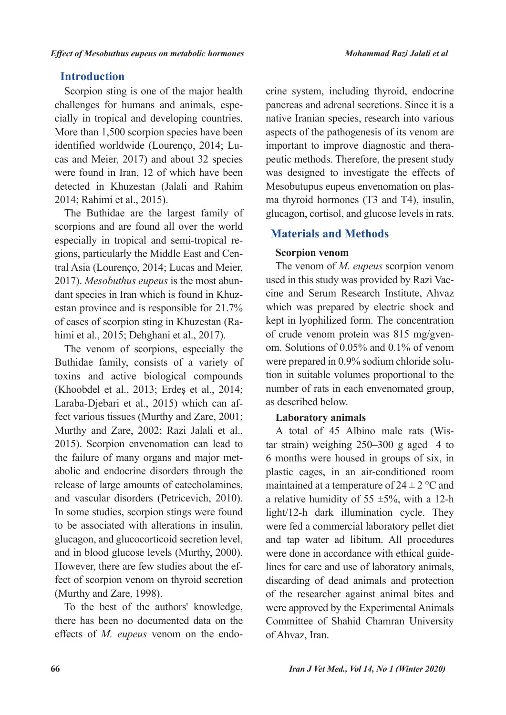# **Introduction**

Scorpion sting is one of the major health challenges for humans and animals, especially in tropical and developing countries. More than 1,500 scorpion species have been identified worldwide (Lourenço, 2014; Lucas and Meier, 2017) and about 32 species were found in Iran, 12 of which have been detected in Khuzestan (Jalali and Rahim 2014; Rahimi et al., 2015).

The Buthidae are the largest family of scorpions and are found all over the world especially in tropical and semi-tropical regions, particularly the Middle East and Central Asia (Lourenço, 2014; Lucas and Meier, 2017). *Mesobuthus eupeus* is the most abundant species in Iran which is found in Khuzestan province and is responsible for 21.7% of cases of scorpion sting in Khuzestan (Rahimi et al., 2015; Dehghani et al., 2017).

The venom of scorpions, especially the Buthidae family, consists of a variety of toxins and active biological compounds (Khoobdel et al., 2013; Erdeş et al., 2014; Laraba-Djebari et al., 2015) which can affect various tissues (Murthy and Zare, 2001; Murthy and Zare, 2002; Razi Jalali et al., 2015). Scorpion envenomation can lead to the failure of many organs and major metabolic and endocrine disorders through the release of large amounts of catecholamines, and vascular disorders (Petricevich, 2010). In some studies, scorpion stings were found to be associated with alterations in insulin, glucagon, and glucocorticoid secretion level, and in blood glucose levels (Murthy, 2000). However, there are few studies about the effect of scorpion venom on thyroid secretion (Murthy and Zare, 1998).

To the best of the authors' knowledge, there has been no documented data on the effects of *M. eupeus* venom on the endo-

crine system, including thyroid, endocrine pancreas and adrenal secretions. Since it is a native Iranian species, research into various aspects of the pathogenesis of its venom are important to improve diagnostic and therapeutic methods. Therefore, the present study was designed to investigate the effects of Mesobutupus eupeus envenomation on plasma thyroid hormones (T3 and T4), insulin, glucagon, cortisol, and glucose levels in rats.

# **Materials and Methods**

## **Scorpion venom**

The venom of *M. eupeus* scorpion venom used in this study was provided by Razi Vaccine and Serum Research Institute, Ahvaz which was prepared by electric shock and kept in lyophilized form. The concentration of crude venom protein was 815 mg/gvenom. Solutions of 0.05% and 0.1% of venom were prepared in 0.9% sodium chloride solution in suitable volumes proportional to the number of rats in each envenomated group, as described below.

### **Laboratory animals**

A total of 45 Albino male rats (Wistar strain) weighing 250–300 g aged 4 to 6 months were housed in groups of six, in plastic cages, in an air-conditioned room maintained at a temperature of  $24 \pm 2$  °C and a relative humidity of  $55 \pm 5\%$ , with a 12-h light/12-h dark illumination cycle. They were fed a commercial laboratory pellet diet and tap water ad libitum. All procedures were done in accordance with ethical guidelines for care and use of laboratory animals, discarding of dead animals and protection of the researcher against animal bites and were approved by the Experimental Animals Committee of Shahid Chamran University of Ahvaz, Iran.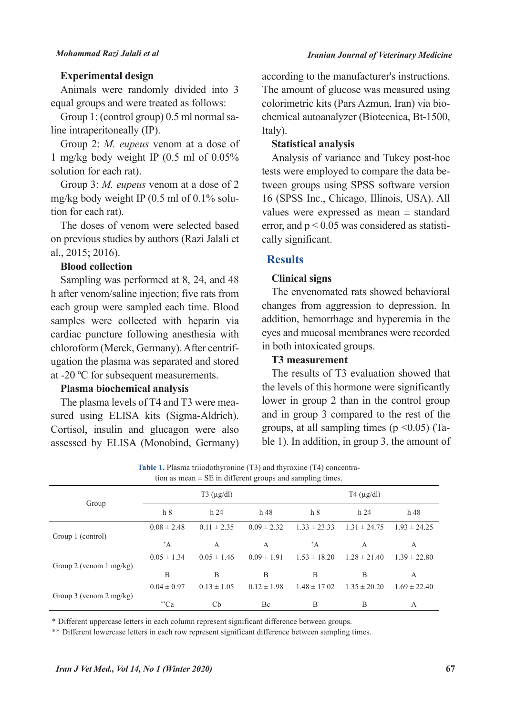#### *Iranian Journal of Veterinary Medicine*

#### **Experimental design**

Animals were randomly divided into 3 equal groups and were treated as follows:

Group 1: (control group) 0.5 ml normal saline intraperitoneally (IP).

Group 2: *M. eupeus* venom at a dose of 1 mg/kg body weight IP (0.5 ml of 0.05% solution for each rat).

Group 3: *M. eupeus* venom at a dose of 2 mg/kg body weight IP (0.5 ml of 0.1% solution for each rat).

The doses of venom were selected based on previous studies by authors (Razi Jalali et al., 2015; 2016).

#### **Blood collection**

Sampling was performed at 8, 24, and 48 h after venom/saline injection; five rats from each group were sampled each time. Blood samples were collected with heparin via cardiac puncture following anesthesia with chloroform (Merck, Germany). After centrifugation the plasma was separated and stored at -20 ºC for subsequent measurements.

## **Plasma biochemical analysis**

The plasma levels of T4 and T3 were measured using ELISA kits (Sigma-Aldrich). Cortisol, insulin and glucagon were also assessed by ELISA (Monobind, Germany) according to the manufacturer's instructions. The amount of glucose was measured using colorimetric kits (Pars Azmun, Iran) via biochemical autoanalyzer (Biotecnica, Bt-1500, Italy).

## **Statistical analysis**

Analysis of variance and Tukey post-hoc tests were employed to compare the data between groups using SPSS software version 16 (SPSS Inc., Chicago, Illinois, USA). All values were expressed as mean  $\pm$  standard error, and  $p < 0.05$  was considered as statistically significant.

### **Results**

#### **Clinical signs**

The envenomated rats showed behavioral changes from aggression to depression. In addition, hemorrhage and hyperemia in the eyes and mucosal membranes were recorded in both intoxicated groups.

### **T3 measurement**

The results of T3 evaluation showed that the levels of this hormone were significantly lower in group 2 than in the control group and in group 3 compared to the rest of the groups, at all sampling times ( $p \le 0.05$ ) (Table 1). In addition, in group 3, the amount of

**Table 1.** Plasma triiodothyronine (T3) and thyroxine (T4) concentration as mean  $\pm$  SE in different groups and sampling times.

|                                    |                 |                    | $\circ$<br>$\mathbf{I}$ | $\circ$          |                    |                  |
|------------------------------------|-----------------|--------------------|-------------------------|------------------|--------------------|------------------|
| Group                              |                 | $T3 \, (\mu g/dl)$ |                         |                  | $T4 \, (\mu g/dl)$ |                  |
|                                    | h <sub>8</sub>  | h <sub>24</sub>    | h 48                    | h <sub>8</sub>   | h <sub>24</sub>    | h 48             |
| Group 1 (control)                  | $0.08 \pm 2.48$ | $0.11 \pm 2.35$    | $0.09 \pm 2.32$         | $1.33 \pm 23.33$ | $1.31 \pm 24.75$   | $1.93 \pm 24.25$ |
|                                    | $^*A$           | A                  | A                       | $^*A$            | А                  | A                |
| Group 2 (venom $1 \text{ mg/kg}$ ) | $0.05 \pm 1.34$ | $0.05 \pm 1.46$    | $0.09 \pm 1.91$         | $1.53 \pm 18.20$ | $1.28 \pm 21.40$   | $1.39 \pm 22.80$ |
|                                    | B               | B                  | B                       | B                | B                  | A                |
| Group 3 (venom $2 \text{ mg/kg}$ ) | $0.04 \pm 0.97$ | $0.13 \pm 1.05$    | $0.12 \pm 1.98$         | $1.48 \pm 17.02$ | $1.35 \pm 20.20$   | $1.69 \pm 22.40$ |
|                                    | $^*$ "Ca        | Cb                 | Bc                      | B                | B                  | A                |

\* Different uppercase letters in each column represent significant difference between groups.

\*\* Different lowercase letters in each row represent significant difference between sampling times.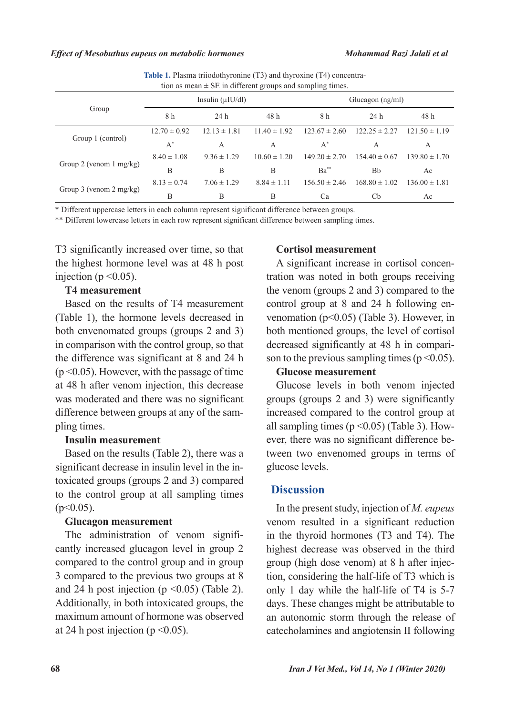| tion as mean $\pm$ SE in different groups and sampling times. |                        |                  |                  |                    |                   |                   |  |
|---------------------------------------------------------------|------------------------|------------------|------------------|--------------------|-------------------|-------------------|--|
| Group                                                         | Insulin $(\mu I U/dl)$ |                  |                  | Glucagon $(ng/ml)$ |                   |                   |  |
|                                                               | 8 h                    | 24h              | 48 h             | 8 h                | 24h               | 48 h              |  |
| Group 1 (control)                                             | $12.70 \pm 0.92$       | $12.13 \pm 1.81$ | $11.40 \pm 1.92$ | $123.67 \pm 2.60$  | $122.25 \pm 2.27$ | $121.50 \pm 1.19$ |  |
|                                                               | $A^*$                  | A                | A                | $A^*$              | A                 | A                 |  |
| Group 2 (venom $1 \text{ mg/kg}$ )                            | $8.40 \pm 1.08$        | $9.36 \pm 1.29$  | $10.60 \pm 1.20$ | $149.20 \pm 2.70$  | $154.40 \pm 0.67$ | $139.80 \pm 1.70$ |  |
|                                                               | B                      | B                | B                | $Ba^{**}$          | Bb                | Ac                |  |
| Group 3 (venom $2 \text{ mg/kg}$ )                            | $8.13 \pm 0.74$        | $7.06 \pm 1.29$  | $8.84 \pm 1.11$  | $156.50 \pm 2.46$  | $168.80 \pm 1.02$ | $136.00 \pm 1.81$ |  |
|                                                               | B                      | В                | B                | Ca                 | Cb                | Ac                |  |

**Table 1.** Plasma triiodothyronine (T3) and thyroxine (T4) concentra-

\* Different uppercase letters in each column represent significant difference between groups.

\*\* Different lowercase letters in each row represent significant difference between sampling times.

T3 significantly increased over time, so that the highest hormone level was at 48 h post injection ( $p \le 0.05$ ).

### **T4 measurement**

Based on the results of T4 measurement (Table 1), the hormone levels decreased in both envenomated groups (groups 2 and 3) in comparison with the control group, so that the difference was significant at 8 and 24 h  $(p \le 0.05)$ . However, with the passage of time at 48 h after venom injection, this decrease was moderated and there was no significant difference between groups at any of the sampling times.

### **Insulin measurement**

Based on the results (Table 2), there was a significant decrease in insulin level in the intoxicated groups (groups 2 and 3) compared to the control group at all sampling times  $(p<0.05)$ .

#### **Glucagon measurement**

The administration of venom significantly increased glucagon level in group 2 compared to the control group and in group 3 compared to the previous two groups at 8 and 24 h post injection ( $p \le 0.05$ ) (Table 2). Additionally, in both intoxicated groups, the maximum amount of hormone was observed at 24 h post injection ( $p \le 0.05$ ).

### **Cortisol measurement**

A significant increase in cortisol concentration was noted in both groups receiving the venom (groups 2 and 3) compared to the control group at 8 and 24 h following envenomation (p<0.05) (Table 3). However, in both mentioned groups, the level of cortisol decreased significantly at 48 h in comparison to the previous sampling times ( $p \le 0.05$ ).

## **Glucose measurement**

Glucose levels in both venom injected groups (groups 2 and 3) were significantly increased compared to the control group at all sampling times ( $p \le 0.05$ ) (Table 3). However, there was no significant difference between two envenomed groups in terms of glucose levels.

### **Discussion**

In the present study, injection of *M. eupeus* venom resulted in a significant reduction in the thyroid hormones (T3 and T4). The highest decrease was observed in the third group (high dose venom) at 8 h after injection, considering the half-life of T3 which is only 1 day while the half-life of T4 is 5-7 days. These changes might be attributable to an autonomic storm through the release of catecholamines and angiotensin II following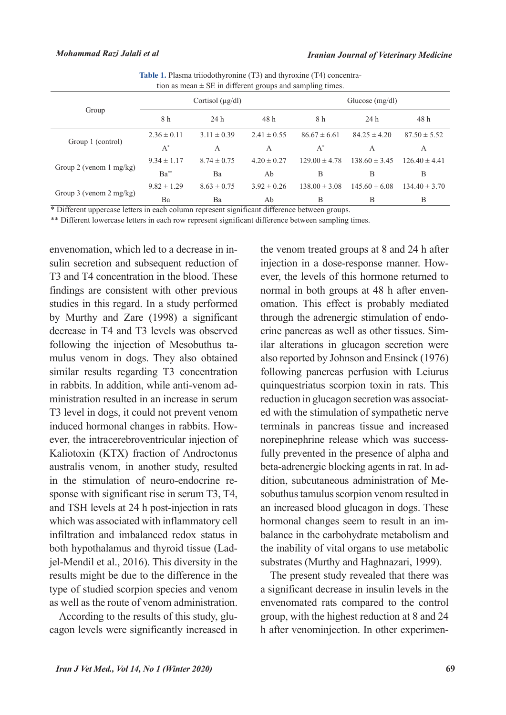| Table 1. Plasma triiodothyronine (T3) and thyroxine (T4) concentra- |  |
|---------------------------------------------------------------------|--|
| tion as mean $\pm$ SE in different groups and sampling times.       |  |

| Group                              | Cortisol $(\mu g/dl)$ |                 |                 | Glucose $(mg/dl)$ |                   |                   |
|------------------------------------|-----------------------|-----------------|-----------------|-------------------|-------------------|-------------------|
|                                    | 8 h                   | 24h             | 48 h            | 8 h               | 24 <sub>h</sub>   | 48 h              |
| Group 1 (control)                  | $2.36 \pm 0.11$       | $3.11 \pm 0.39$ | $2.41 \pm 0.55$ | $86.67 \pm 6.61$  | $84.25 \pm 4.20$  | $87.50 \pm 5.52$  |
|                                    | $A^*$                 | A               | A               | $A^*$             | А                 | A                 |
| Group 2 (venom $1 \text{ mg/kg}$ ) | $9.34 \pm 1.17$       | $8.74 \pm 0.75$ | $4.20 \pm 0.27$ | $129.00 \pm 4.78$ | $138.60 \pm 3.45$ | $126.40 \pm 4.41$ |
|                                    | $Ba^{**}$             | Ba              | Ab              | B                 | B                 | B                 |
| Group 3 (venom $2 \text{ mg/kg}$ ) | $9.82 \pm 1.29$       | $8.63 \pm 0.75$ | $3.92 \pm 0.26$ | $138.00 \pm 3.08$ | $145.60 \pm 6.08$ | $134.40 \pm 3.70$ |
|                                    | Ba                    | Ba              | Ab              | B                 | В                 | B                 |

\* Different uppercase letters in each column represent significant difference between groups.

\*\* Different lowercase letters in each row represent significant difference between sampling times.

envenomation, which led to a decrease in insulin secretion and subsequent reduction of T3 and T4 concentration in the blood. These findings are consistent with other previous studies in this regard. In a study performed by Murthy and Zare (1998) a significant decrease in T4 and T3 levels was observed following the injection of Mesobuthus tamulus venom in dogs. They also obtained similar results regarding T3 concentration in rabbits. In addition, while anti-venom administration resulted in an increase in serum T3 level in dogs, it could not prevent venom induced hormonal changes in rabbits. However, the intracerebroventricular injection of Kaliotoxin (KTX) fraction of Androctonus australis venom, in another study, resulted in the stimulation of neuro-endocrine response with significant rise in serum T3, T4, and TSH levels at 24 h post-injection in rats which was associated with inflammatory cell infiltration and imbalanced redox status in both hypothalamus and thyroid tissue (Ladjel-Mendil et al., 2016). This diversity in the results might be due to the difference in the type of studied scorpion species and venom as well as the route of venom administration.

According to the results of this study, glucagon levels were significantly increased in

the venom treated groups at 8 and 24 h after injection in a dose-response manner. However, the levels of this hormone returned to normal in both groups at 48 h after envenomation. This effect is probably mediated through the adrenergic stimulation of endocrine pancreas as well as other tissues. Similar alterations in glucagon secretion were also reported by Johnson and Ensinck (1976) following pancreas perfusion with Leiurus quinquestriatus scorpion toxin in rats. This reduction in glucagon secretion was associated with the stimulation of sympathetic nerve terminals in pancreas tissue and increased norepinephrine release which was successfully prevented in the presence of alpha and beta-adrenergic blocking agents in rat. In addition, subcutaneous administration of Mesobuthus tamulus scorpion venom resulted in an increased blood glucagon in dogs. These hormonal changes seem to result in an imbalance in the carbohydrate metabolism and the inability of vital organs to use metabolic substrates (Murthy and Haghnazari, 1999).

The present study revealed that there was a significant decrease in insulin levels in the envenomated rats compared to the control group, with the highest reduction at 8 and 24 h after venominjection. In other experimen-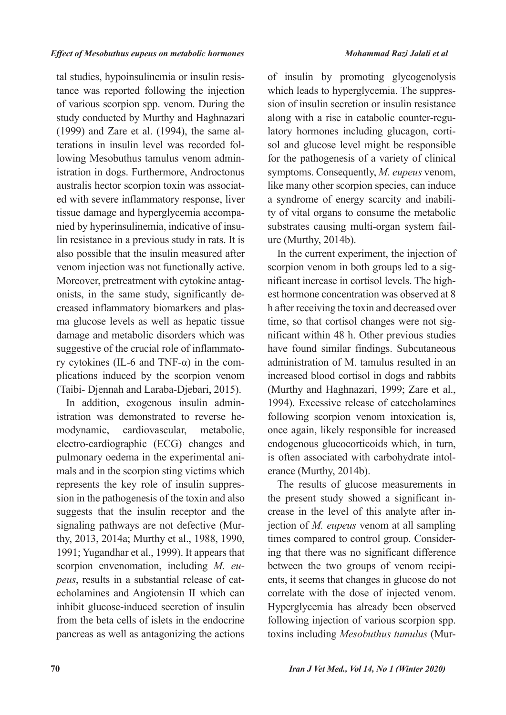#### *Effect of Mesobuthus eupeus on metabolic hormones Mohammad Razi Jalali et al*

tal studies, hypoinsulinemia or insulin resistance was reported following the injection of various scorpion spp. venom. During the study conducted by Murthy and Haghnazari (1999) and Zare et al. (1994), the same alterations in insulin level was recorded following Mesobuthus tamulus venom administration in dogs. Furthermore, Androctonus australis hector scorpion toxin was associated with severe inflammatory response, liver tissue damage and hyperglycemia accompanied by hyperinsulinemia, indicative of insulin resistance in a previous study in rats. It is also possible that the insulin measured after venom injection was not functionally active. Moreover, pretreatment with cytokine antagonists, in the same study, significantly decreased inflammatory biomarkers and plasma glucose levels as well as hepatic tissue damage and metabolic disorders which was suggestive of the crucial role of inflammatory cytokines (IL-6 and TNF- $\alpha$ ) in the complications induced by the scorpion venom (Taibi- Djennah and Laraba-Djebari, 2015).

In addition, exogenous insulin administration was demonstrated to reverse hemodynamic, cardiovascular, metabolic, electro-cardiographic (ECG) changes and pulmonary oedema in the experimental animals and in the scorpion sting victims which represents the key role of insulin suppression in the pathogenesis of the toxin and also suggests that the insulin receptor and the signaling pathways are not defective (Murthy, 2013, 2014a; Murthy et al., 1988, 1990, 1991; Yugandhar et al., 1999). It appears that scorpion envenomation, including *M. eupeus*, results in a substantial release of catecholamines and Angiotensin II which can inhibit glucose-induced secretion of insulin from the beta cells of islets in the endocrine pancreas as well as antagonizing the actions of insulin by promoting glycogenolysis which leads to hyperglycemia. The suppression of insulin secretion or insulin resistance along with a rise in catabolic counter-regulatory hormones including glucagon, cortisol and glucose level might be responsible for the pathogenesis of a variety of clinical symptoms. Consequently, *M. eupeus* venom, like many other scorpion species, can induce a syndrome of energy scarcity and inability of vital organs to consume the metabolic substrates causing multi-organ system failure (Murthy, 2014b).

In the current experiment, the injection of scorpion venom in both groups led to a significant increase in cortisol levels. The highest hormone concentration was observed at 8 h after receiving the toxin and decreased over time, so that cortisol changes were not significant within 48 h. Other previous studies have found similar findings. Subcutaneous administration of M. tamulus resulted in an increased blood cortisol in dogs and rabbits (Murthy and Haghnazari, 1999; Zare et al., 1994). Excessive release of catecholamines following scorpion venom intoxication is, once again, likely responsible for increased endogenous glucocorticoids which, in turn, is often associated with carbohydrate intolerance (Murthy, 2014b).

The results of glucose measurements in the present study showed a significant increase in the level of this analyte after injection of *M. eupeus* venom at all sampling times compared to control group. Considering that there was no significant difference between the two groups of venom recipients, it seems that changes in glucose do not correlate with the dose of injected venom. Hyperglycemia has already been observed following injection of various scorpion spp. toxins including *Mesobuthus tumulus* (Mur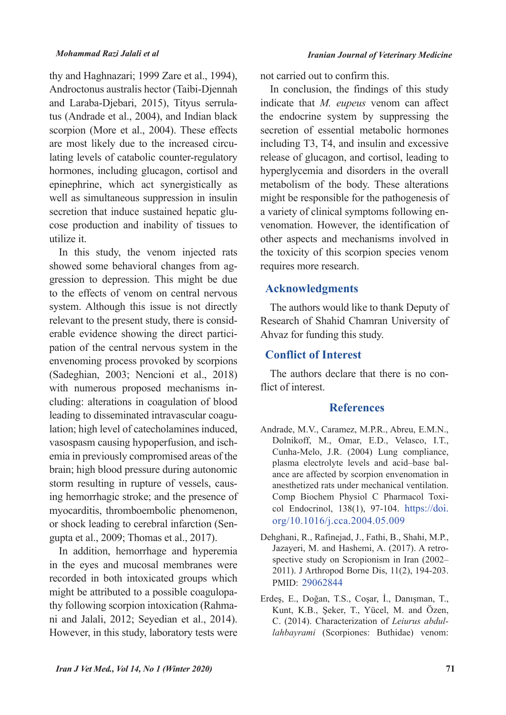thy and Haghnazari; 1999 Zare et al., 1994), Androctonus australis hector (Taibi-Djennah and Laraba-Djebari, 2015), Tityus serrulatus (Andrade et al., 2004), and Indian black scorpion (More et al., 2004). These effects are most likely due to the increased circulating levels of catabolic counter-regulatory hormones, including glucagon, cortisol and epinephrine, which act synergistically as well as simultaneous suppression in insulin secretion that induce sustained hepatic glucose production and inability of tissues to utilize it.

In this study, the venom injected rats showed some behavioral changes from aggression to depression. This might be due to the effects of venom on central nervous system. Although this issue is not directly relevant to the present study, there is considerable evidence showing the direct participation of the central nervous system in the envenoming process provoked by scorpions (Sadeghian, 2003; Nencioni et al., 2018) with numerous proposed mechanisms including: alterations in coagulation of blood leading to disseminated intravascular coagulation; high level of catecholamines induced, vasospasm causing hypoperfusion, and ischemia in previously compromised areas of the brain; high blood pressure during autonomic storm resulting in rupture of vessels, causing hemorrhagic stroke; and the presence of myocarditis, thromboembolic phenomenon, or shock leading to cerebral infarction (Sengupta et al., 2009; Thomas et al., 2017).

In addition, hemorrhage and hyperemia in the eyes and mucosal membranes were recorded in both intoxicated groups which might be attributed to a possible coagulopathy following scorpion intoxication (Rahmani and Jalali, 2012; Seyedian et al., 2014). However, in this study, laboratory tests were

not carried out to confirm this.

In conclusion, the findings of this study indicate that *M. eupeus* venom can affect the endocrine system by suppressing the secretion of essential metabolic hormones including T3, T4, and insulin and excessive release of glucagon, and cortisol, leading to hyperglycemia and disorders in the overall metabolism of the body. These alterations might be responsible for the pathogenesis of a variety of clinical symptoms following envenomation. However, the identification of other aspects and mechanisms involved in the toxicity of this scorpion species venom requires more research.

### **Acknowledgments**

The authors would like to thank Deputy of Research of Shahid Chamran University of Ahvaz for funding this study.

#### **Conflict of Interest**

The authors declare that there is no conflict of interest.

### **References**

- Andrade, M.V., Caramez, M.P.R., Abreu, E.M.N., Dolnikoff, M., Omar, E.D., Velasco, I.T., Cunha-Melo, J.R. (2004) Lung compliance, plasma electrolyte levels and acid–base balance are affected by scorpion envenomation in anesthetized rats under mechanical ventilation. Comp Biochem Physiol C Pharmacol Toxicol Endocrinol, 138(1), 97-104. https://doi. org/10.1016/j.cca.2004.05.009
- Dehghani, R., Rafinejad, J., Fathi, B., Shahi, M.P., Jazayeri, M. and Hashemi, A. (2017). A retrospective study on Scropionism in Iran (2002– 2011). J Arthropod Borne Dis, 11(2), 194-203. PMID: 29062844
- Erdeş, E., Doğan, T.S., Coşar, İ., Danışman, T., Kunt, K.B., Şeker, T., Yücel, M. and Özen, C. (2014). Characterization of *Leiurus abdullahbayrami* (Scorpiones: Buthidae) venom: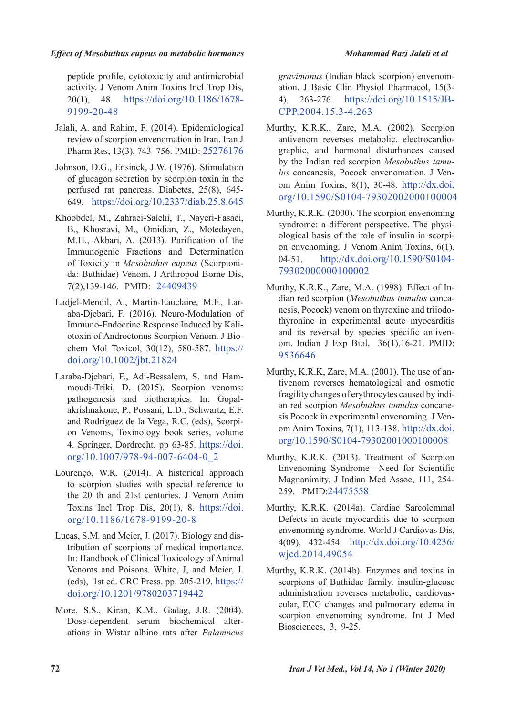#### *Effect of Mesobuthus eupeus on metabolic hormones Mohammad Razi Jalali et al*

peptide profile, cytotoxicity and antimicrobial activity. J Venom Anim Toxins Incl Trop Dis, 20(1), 48. https://doi.org/10.1186/1678- 9199-20-48

- Jalali, A. and Rahim, F. (2014). Epidemiological review of scorpion envenomation in Iran. Iran J Pharm Res, 13(3), 743–756. PMID: 25276176
- Johnson, D.G., Ensinck, J.W. (1976). Stimulation of glucagon secretion by scorpion toxin in the perfused rat pancreas. Diabetes, 25(8), 645- 649. https://doi.org/10.2337/diab.25.8.645
- Khoobdel, M., Zahraei-Salehi, T., Nayeri-Fasaei, B., Khosravi, M., Omidian, Z., Motedayen, M.H., Akbari, A. (2013). Purification of the Immunogenic Fractions and Determination of Toxicity in *Mesobuthus eupeus* (Scorpionida: Buthidae) Venom. J Arthropod Borne Dis, 7(2),139-146. PMID: 24409439
- Ladjel‐Mendil, A., Martin‐Eauclaire, M.F., Laraba‐Djebari, F. (2016). Neuro‐Modulation of Immuno‐Endocrine Response Induced by Kaliotoxin of Androctonus Scorpion Venom. J Biochem Mol Toxicol, 30(12), 580-587. https:// doi.org/10.1002/jbt.21824
- Laraba-Djebari, F., Adi-Bessalem, S. and Hammoudi-Triki, D. (2015). Scorpion venoms: pathogenesis and biotherapies. In: Gopalakrishnakone, P., Possani, L.D., Schwartz, E.F. and Rodríguez de la Vega, R.C. (eds), Scorpion Venoms, Toxinology book series, volume 4. Springer, Dordrecht. pp 63-85. https://doi. org/10.1007/978-94-007-6404-0\_2
- Lourenço, W.R. (2014). A historical approach to scorpion studies with special reference to the 20 th and 21st centuries. J Venom Anim Toxins Incl Trop Dis, 20(1), 8. https://doi. org/10.1186/1678-9199-20-8
- Lucas, S.M. and Meier, J. (2017). Biology and distribution of scorpions of medical importance. In: Handbook of Clinical Toxicology of Animal Venoms and Poisons. White, J, and Meier, J. (eds), 1st ed. CRC Press. pp. 205-219. https:// doi.org/10.1201/9780203719442
- More, S.S., Kiran, K.M., Gadag, J.R. (2004). Dose-dependent serum biochemical alterations in Wistar albino rats after *Palamneus*

*gravimanus* (Indian black scorpion) envenomation. J Basic Clin Physiol Pharmacol, 15(3- 4), 263-276. https://doi.org/10.1515/JB-CPP.2004.15.3-4.263

- Murthy, K.R.K., Zare, M.A. (2002). Scorpion antivenom reverses metabolic, electrocardiographic, and hormonal disturbances caused by the Indian red scorpion *Mesobuthus tamulus* concanesis, Pocock envenomation. J Venom Anim Toxins, 8(1), 30-48. http://dx.doi. org/10.1590/S0104-79302002000100004
- Murthy, K.R.K. (2000). The scorpion envenoming syndrome: a different perspective. The physiological basis of the role of insulin in scorpion envenoming. J Venom Anim Toxins, 6(1), 04-51. http://dx.doi.org/10.1590/S0104- 79302000000100002
- Murthy, K.R.K., Zare, M.A. (1998). Effect of Indian red scorpion (*Mesobuthus tumulus* concanesis, Pocock) venom on thyroxine and triiodothyronine in experimental acute myocarditis and its reversal by species specific antivenom. Indian J Exp Biol, 36(1),16-21. PMID: 9536646
- Murthy, K.R.K, Zare, M.A. (2001). The use of antivenom reverses hematological and osmotic fragility changes of erythrocytes caused by indian red scorpion *Mesobuthus tumulus* concanesis Pocock in experimental envenoming. J Venom Anim Toxins, 7(1), 113-138. http://dx.doi. org/10.1590/S0104-79302001000100008
- Murthy, K.R.K. (2013). Treatment of Scorpion Envenoming Syndrome—Need for Scientific Magnanimity. J Indian Med Assoc, 111, 254- 259. PMID:24475558
- Murthy, K.R.K. (2014a). Cardiac Sarcolemmal Defects in acute myocarditis due to scorpion envenoming syndrome. World J Cardiovas Dis, 4(09), 432-454. http://dx.doi.org/10.4236/ wjcd.2014.49054
- Murthy, K.R.K. (2014b). Enzymes and toxins in scorpions of Buthidae family. insulin-glucose administration reverses metabolic, cardiovascular, ECG changes and pulmonary edema in scorpion envenoming syndrome. Int J Med Biosciences, 3, 9-25.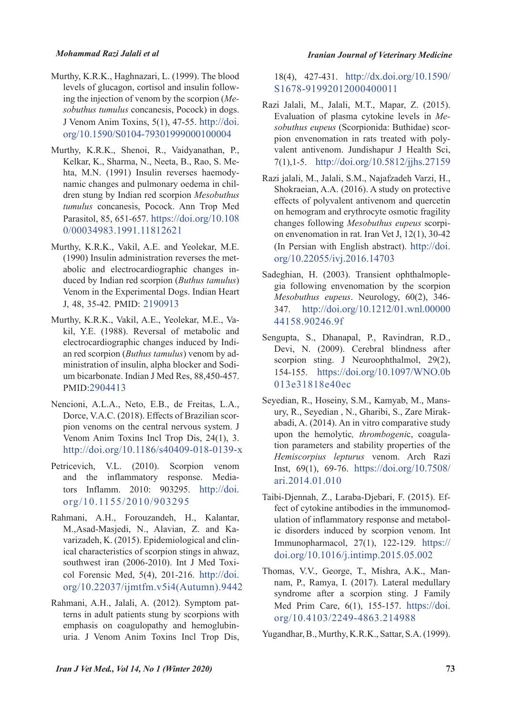#### *Mohammad Razi Jalali et al*

- Murthy, K.R.K., Haghnazari, L. (1999). The blood levels of glucagon, cortisol and insulin following the injection of venom by the scorpion (*Mesobuthus tumulus* concanesis, Pocock) in dogs. J Venom Anim Toxins, 5(1), 47-55. http://doi. org/10.1590/S0104-79301999000100004
- Murthy, K.R.K., Shenoi, R., Vaidyanathan, P., Kelkar, K., Sharma, N., Neeta, B., Rao, S. Mehta, M.N. (1991) Insulin reverses haemodynamic changes and pulmonary oedema in children stung by Indian red scorpion *Mesobuthus tumulus* concanesis, Pocock. Ann Trop Med Parasitol, 85, 651-657. https://doi.org/10.108 0/00034983.1991.11812621
- Murthy, K.R.K., Vakil, A.E. and Yeolekar, M.E. (1990) Insulin administration reverses the metabolic and electrocardiographic changes induced by Indian red scorpion (*Buthus tamulus*) Venom in the Experimental Dogs. Indian Heart J, 48, 35-42. PMID: 2190913
- Murthy, K.R.K., Vakil, A.E., Yeolekar, M.E., Vakil, Y.E. (1988). Reversal of metabolic and electrocardiographic changes induced by Indian red scorpion (*Buthus tamulus*) venom by administration of insulin, alpha blocker and Sodium bicarbonate. Indian J Med Res, 88,450-457. PMID:2904413
- Nencioni, A.L.A., Neto, E.B., de Freitas, L.A., Dorce, V.A.C. (2018). Effects of Brazilian scorpion venoms on the central nervous system. J Venom Anim Toxins Incl Trop Dis, 24(1), 3. http://doi.org/10.1186/s40409-018-0139-x
- Petricevich, V.L. (2010). Scorpion venom and the inflammatory response. Mediators Inflamm. 2010: 903295. http://doi. org/10.1155/2010/903295
- Rahmani, A.H., Forouzandeh, H., Kalantar, M.,Asad-Masjedi, N., Alavian, Z. and Kavarizadeh, K. (2015). Epidemiological and clinical characteristics of scorpion stings in ahwaz, southwest iran (2006-2010). Int J Med Toxicol Forensic Med, 5(4), 201-216. http://doi. org/10.22037/ijmtfm.v5i4(Autumn).9442
- Rahmani, A.H., Jalali, A. (2012). Symptom patterns in adult patients stung by scorpions with emphasis on coagulopathy and hemoglubinuria. J Venom Anim Toxins Incl Trop Dis,

#### *Iranian Journal of Veterinary Medicine*

18(4), 427-431. http://dx.doi.org/10.1590/ S1678-91992012000400011

- Razi Jalali, M., Jalali, M.T., Mapar, Z. (2015). Evaluation of plasma cytokine levels in *Mesobuthus eupeus* (Scorpionida: Buthidae) scorpion envenomation in rats treated with polyvalent antivenom. Jundishapur J Health Sci, 7(1),1-5. http://doi.org/10.5812/jjhs.27159
- Razi jalali, M., Jalali, S.M., Najafzadeh Varzi, H., Shokraeian, A.A. (2016). A study on protective effects of polyvalent antivenom and quercetin on hemogram and erythrocyte osmotic fragility changes following *Mesobuthus eupeus* scorpion envenomation in rat. Iran Vet J, 12(1), 30-42 (In Persian with English abstract). http://doi. org/10.22055/ivj.2016.14703
- Sadeghian, H. (2003). Transient ophthalmoplegia following envenomation by the scorpion *Mesobuthus eupeus*. Neurology, 60(2), 346- 347. http://doi.org/10.1212/01.wnl.00000 44158.90246.9f
- Sengupta, S., Dhanapal, P., Ravindran, R.D., Devi, N. (2009). Cerebral blindness after scorpion sting. J Neuroophthalmol, 29(2), 154-155. https://doi.org/10.1097/WNO.0b 013e31818e40ec
- Seyedian, R., Hoseiny, S.M., Kamyab, M., Mansury, R., Seyedian , N., Gharibi, S., Zare Mirakabadi, A. (2014). An in vitro comparative study upon the hemolytic*, thrombogeni*c, coagulation parameters and stability properties of the *Hemiscorpius lepturus* venom. Arch Razi Inst, 69(1), 69-76. https://doi.org/10.7508/ ari.2014.01.010
- Taibi-Djennah, Z., Laraba-Djebari, F. (2015). Effect of cytokine antibodies in the immunomodulation of inflammatory response and metabolic disorders induced by scorpion venom. Int Immunopharmacol, 27(1), 122-129. https:// doi.org/10.1016/j.intimp.2015.05.002
- Thomas, V.V., George, T., Mishra, A.K., Mannam, P., Ramya, I. (2017). Lateral medullary syndrome after a scorpion sting. J Family Med Prim Care, 6(1), 155-157. https://doi. org/10.4103/2249-4863.214988

Yugandhar, B., Murthy, K.R.K., Sattar, S.A. (1999).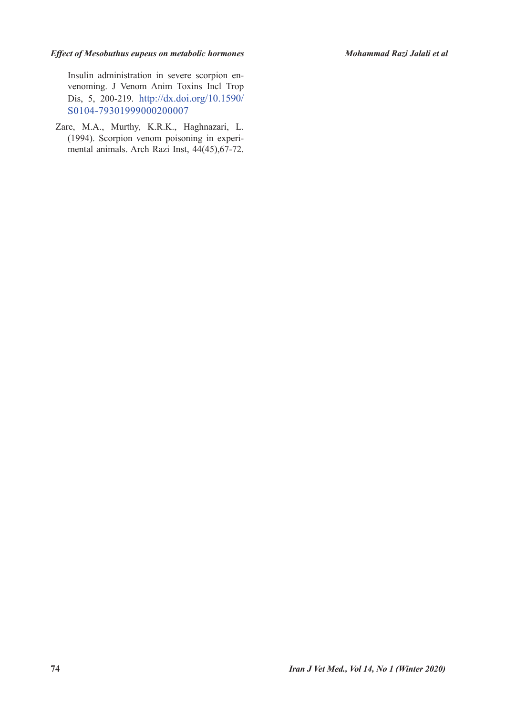#### *Effect of Mesobuthus eupeus on metabolic hormones Mohammad Razi Jalali et al*

Insulin administration in severe scorpion envenoming. J Venom Anim Toxins Incl Trop Dis, 5, 200-219. http://dx.doi.org/10.1590/ S0104-79301999000200007

Zare, M.A., Murthy, K.R.K., Haghnazari, L. (1994). Scorpion venom poisoning in experimental animals. Arch Razi Inst, 44(45),67-72.